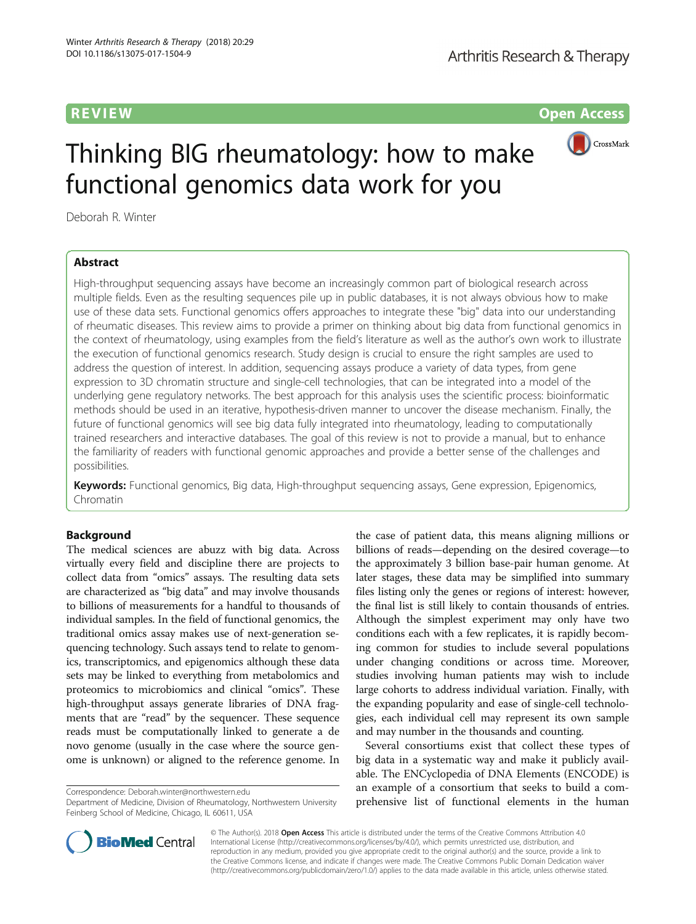**REVIEW CONSTRUCTION CONSTRUCTION CONSTRUCTS** 



# Thinking BIG rheumatology: how to make functional genomics data work for you

Deborah R. Winter

# Abstract

High-throughput sequencing assays have become an increasingly common part of biological research across multiple fields. Even as the resulting sequences pile up in public databases, it is not always obvious how to make use of these data sets. Functional genomics offers approaches to integrate these "big" data into our understanding of rheumatic diseases. This review aims to provide a primer on thinking about big data from functional genomics in the context of rheumatology, using examples from the field's literature as well as the author's own work to illustrate the execution of functional genomics research. Study design is crucial to ensure the right samples are used to address the question of interest. In addition, sequencing assays produce a variety of data types, from gene expression to 3D chromatin structure and single-cell technologies, that can be integrated into a model of the underlying gene regulatory networks. The best approach for this analysis uses the scientific process: bioinformatic methods should be used in an iterative, hypothesis-driven manner to uncover the disease mechanism. Finally, the future of functional genomics will see big data fully integrated into rheumatology, leading to computationally trained researchers and interactive databases. The goal of this review is not to provide a manual, but to enhance the familiarity of readers with functional genomic approaches and provide a better sense of the challenges and possibilities.

Keywords: Functional genomics, Big data, High-throughput sequencing assays, Gene expression, Epigenomics, Chromatin

# Background

The medical sciences are abuzz with big data. Across virtually every field and discipline there are projects to collect data from "omics" assays. The resulting data sets are characterized as "big data" and may involve thousands to billions of measurements for a handful to thousands of individual samples. In the field of functional genomics, the traditional omics assay makes use of next-generation sequencing technology. Such assays tend to relate to genomics, transcriptomics, and epigenomics although these data sets may be linked to everything from metabolomics and proteomics to microbiomics and clinical "omics". These high-throughput assays generate libraries of DNA fragments that are "read" by the sequencer. These sequence reads must be computationally linked to generate a de novo genome (usually in the case where the source genome is unknown) or aligned to the reference genome. In

Correspondence: [Deborah.winter@northwestern.edu](mailto:Deborah.winter@northwestern.edu)

Department of Medicine, Division of Rheumatology, Northwestern University Feinberg School of Medicine, Chicago, IL 60611, USA

the case of patient data, this means aligning millions or billions of reads—depending on the desired coverage—to the approximately 3 billion base-pair human genome. At later stages, these data may be simplified into summary files listing only the genes or regions of interest: however, the final list is still likely to contain thousands of entries. Although the simplest experiment may only have two conditions each with a few replicates, it is rapidly becoming common for studies to include several populations under changing conditions or across time. Moreover, studies involving human patients may wish to include large cohorts to address individual variation. Finally, with the expanding popularity and ease of single-cell technologies, each individual cell may represent its own sample and may number in the thousands and counting.

Several consortiums exist that collect these types of big data in a systematic way and make it publicly available. The ENCyclopedia of DNA Elements (ENCODE) is an example of a consortium that seeks to build a comprehensive list of functional elements in the human



© The Author(s). 2018 Open Access This article is distributed under the terms of the Creative Commons Attribution 4.0 International License [\(http://creativecommons.org/licenses/by/4.0/](http://creativecommons.org/licenses/by/4.0/)), which permits unrestricted use, distribution, and reproduction in any medium, provided you give appropriate credit to the original author(s) and the source, provide a link to the Creative Commons license, and indicate if changes were made. The Creative Commons Public Domain Dedication waiver [\(http://creativecommons.org/publicdomain/zero/1.0/](http://creativecommons.org/publicdomain/zero/1.0/)) applies to the data made available in this article, unless otherwise stated.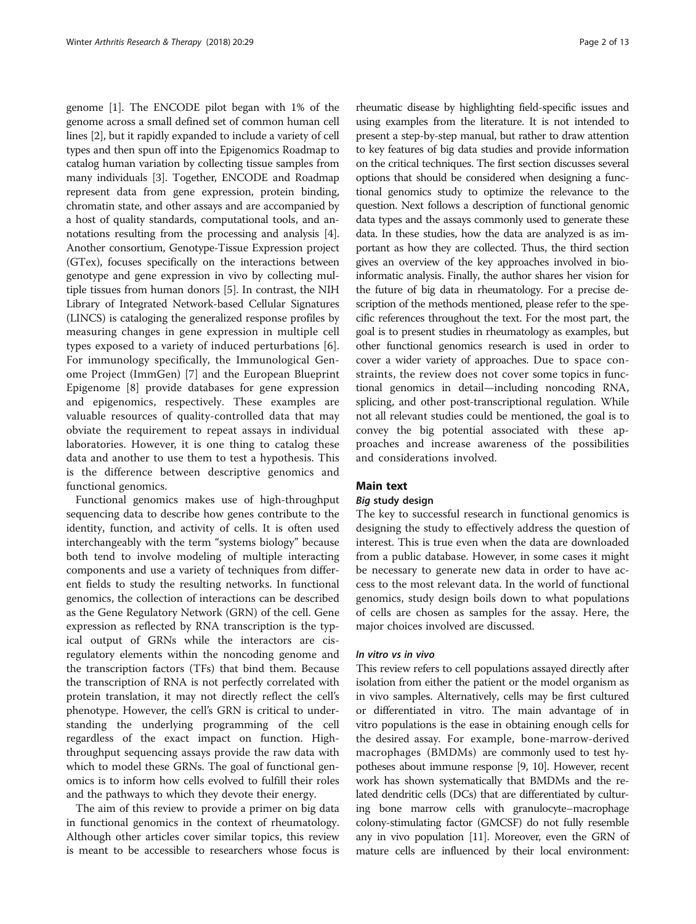genome [\[1](#page-10-0)]. The ENCODE pilot began with 1% of the genome across a small defined set of common human cell lines [[2](#page-10-0)], but it rapidly expanded to include a variety of cell types and then spun off into the Epigenomics Roadmap to catalog human variation by collecting tissue samples from many individuals [\[3](#page-10-0)]. Together, ENCODE and Roadmap represent data from gene expression, protein binding, chromatin state, and other assays and are accompanied by a host of quality standards, computational tools, and annotations resulting from the processing and analysis [[4](#page-10-0)]. Another consortium, Genotype-Tissue Expression project (GTex), focuses specifically on the interactions between genotype and gene expression in vivo by collecting multiple tissues from human donors [\[5](#page-10-0)]. In contrast, the NIH Library of Integrated Network-based Cellular Signatures (LINCS) is cataloging the generalized response profiles by measuring changes in gene expression in multiple cell types exposed to a variety of induced perturbations [\[6](#page-10-0)]. For immunology specifically, the Immunological Genome Project (ImmGen) [\[7](#page-11-0)] and the European Blueprint Epigenome [\[8](#page-11-0)] provide databases for gene expression and epigenomics, respectively. These examples are valuable resources of quality-controlled data that may obviate the requirement to repeat assays in individual laboratories. However, it is one thing to catalog these data and another to use them to test a hypothesis. This is the difference between descriptive genomics and functional genomics.

Functional genomics makes use of high-throughput sequencing data to describe how genes contribute to the identity, function, and activity of cells. It is often used interchangeably with the term "systems biology" because both tend to involve modeling of multiple interacting components and use a variety of techniques from different fields to study the resulting networks. In functional genomics, the collection of interactions can be described as the Gene Regulatory Network (GRN) of the cell. Gene expression as reflected by RNA transcription is the typical output of GRNs while the interactors are cisregulatory elements within the noncoding genome and the transcription factors (TFs) that bind them. Because the transcription of RNA is not perfectly correlated with protein translation, it may not directly reflect the cell's phenotype. However, the cell's GRN is critical to understanding the underlying programming of the cell regardless of the exact impact on function. Highthroughput sequencing assays provide the raw data with which to model these GRNs. The goal of functional genomics is to inform how cells evolved to fulfill their roles and the pathways to which they devote their energy.

The aim of this review to provide a primer on big data in functional genomics in the context of rheumatology. Although other articles cover similar topics, this review is meant to be accessible to researchers whose focus is

rheumatic disease by highlighting field-specific issues and using examples from the literature. It is not intended to present a step-by-step manual, but rather to draw attention to key features of big data studies and provide information on the critical techniques. The first section discusses several options that should be considered when designing a functional genomics study to optimize the relevance to the question. Next follows a description of functional genomic data types and the assays commonly used to generate these data. In these studies, how the data are analyzed is as important as how they are collected. Thus, the third section gives an overview of the key approaches involved in bioinformatic analysis. Finally, the author shares her vision for the future of big data in rheumatology. For a precise description of the methods mentioned, please refer to the specific references throughout the text. For the most part, the goal is to present studies in rheumatology as examples, but other functional genomics research is used in order to cover a wider variety of approaches. Due to space constraints, the review does not cover some topics in functional genomics in detail—including noncoding RNA, splicing, and other post-transcriptional regulation. While not all relevant studies could be mentioned, the goal is to convey the big potential associated with these approaches and increase awareness of the possibilities and considerations involved.

# Main text

#### Big study design

The key to successful research in functional genomics is designing the study to effectively address the question of interest. This is true even when the data are downloaded from a public database. However, in some cases it might be necessary to generate new data in order to have access to the most relevant data. In the world of functional genomics, study design boils down to what populations of cells are chosen as samples for the assay. Here, the major choices involved are discussed.

#### In vitro vs in vivo

This review refers to cell populations assayed directly after isolation from either the patient or the model organism as in vivo samples. Alternatively, cells may be first cultured or differentiated in vitro. The main advantage of in vitro populations is the ease in obtaining enough cells for the desired assay. For example, bone-marrow-derived macrophages (BMDMs) are commonly used to test hypotheses about immune response [\[9](#page-11-0), [10](#page-11-0)]. However, recent work has shown systematically that BMDMs and the related dendritic cells (DCs) that are differentiated by culturing bone marrow cells with granulocyte–macrophage colony-stimulating factor (GMCSF) do not fully resemble any in vivo population [\[11\]](#page-11-0). Moreover, even the GRN of mature cells are influenced by their local environment: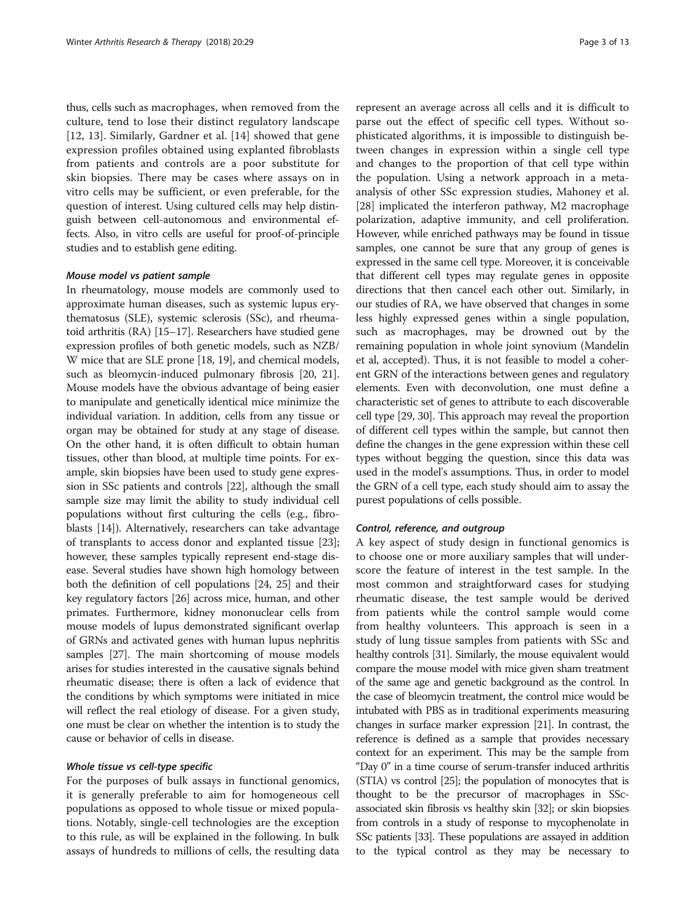thus, cells such as macrophages, when removed from the culture, tend to lose their distinct regulatory landscape [[12, 13](#page-11-0)]. Similarly, Gardner et al. [[14\]](#page-11-0) showed that gene expression profiles obtained using explanted fibroblasts from patients and controls are a poor substitute for skin biopsies. There may be cases where assays on in vitro cells may be sufficient, or even preferable, for the question of interest. Using cultured cells may help distinguish between cell-autonomous and environmental effects. Also, in vitro cells are useful for proof-of-principle studies and to establish gene editing.

#### Mouse model vs patient sample

In rheumatology, mouse models are commonly used to approximate human diseases, such as systemic lupus erythematosus (SLE), systemic sclerosis (SSc), and rheumatoid arthritis (RA) [\[15](#page-11-0)–[17](#page-11-0)]. Researchers have studied gene expression profiles of both genetic models, such as NZB/ W mice that are SLE prone [\[18, 19](#page-11-0)], and chemical models, such as bleomycin-induced pulmonary fibrosis [\[20, 21](#page-11-0)]. Mouse models have the obvious advantage of being easier to manipulate and genetically identical mice minimize the individual variation. In addition, cells from any tissue or organ may be obtained for study at any stage of disease. On the other hand, it is often difficult to obtain human tissues, other than blood, at multiple time points. For example, skin biopsies have been used to study gene expression in SSc patients and controls [\[22\]](#page-11-0), although the small sample size may limit the ability to study individual cell populations without first culturing the cells (e.g., fibroblasts [[14\]](#page-11-0)). Alternatively, researchers can take advantage of transplants to access donor and explanted tissue [[23](#page-11-0)]; however, these samples typically represent end-stage disease. Several studies have shown high homology between both the definition of cell populations [[24, 25](#page-11-0)] and their key regulatory factors [[26\]](#page-11-0) across mice, human, and other primates. Furthermore, kidney mononuclear cells from mouse models of lupus demonstrated significant overlap of GRNs and activated genes with human lupus nephritis samples [\[27](#page-11-0)]. The main shortcoming of mouse models arises for studies interested in the causative signals behind rheumatic disease; there is often a lack of evidence that the conditions by which symptoms were initiated in mice will reflect the real etiology of disease. For a given study, one must be clear on whether the intention is to study the cause or behavior of cells in disease.

#### Whole tissue vs cell-type specific

For the purposes of bulk assays in functional genomics, it is generally preferable to aim for homogeneous cell populations as opposed to whole tissue or mixed populations. Notably, single-cell technologies are the exception to this rule, as will be explained in the following. In bulk assays of hundreds to millions of cells, the resulting data

represent an average across all cells and it is difficult to parse out the effect of specific cell types. Without sophisticated algorithms, it is impossible to distinguish between changes in expression within a single cell type and changes to the proportion of that cell type within the population. Using a network approach in a metaanalysis of other SSc expression studies, Mahoney et al. [[28\]](#page-11-0) implicated the interferon pathway, M2 macrophage polarization, adaptive immunity, and cell proliferation. However, while enriched pathways may be found in tissue samples, one cannot be sure that any group of genes is expressed in the same cell type. Moreover, it is conceivable that different cell types may regulate genes in opposite directions that then cancel each other out. Similarly, in our studies of RA, we have observed that changes in some less highly expressed genes within a single population, such as macrophages, may be drowned out by the remaining population in whole joint synovium (Mandelin et al, accepted). Thus, it is not feasible to model a coherent GRN of the interactions between genes and regulatory elements. Even with deconvolution, one must define a characteristic set of genes to attribute to each discoverable cell type [\[29, 30](#page-11-0)]. This approach may reveal the proportion of different cell types within the sample, but cannot then define the changes in the gene expression within these cell types without begging the question, since this data was used in the model's assumptions. Thus, in order to model the GRN of a cell type, each study should aim to assay the purest populations of cells possible.

#### Control, reference, and outgroup

A key aspect of study design in functional genomics is to choose one or more auxiliary samples that will underscore the feature of interest in the test sample. In the most common and straightforward cases for studying rheumatic disease, the test sample would be derived from patients while the control sample would come from healthy volunteers. This approach is seen in a study of lung tissue samples from patients with SSc and healthy controls [[31](#page-11-0)]. Similarly, the mouse equivalent would compare the mouse model with mice given sham treatment of the same age and genetic background as the control. In the case of bleomycin treatment, the control mice would be intubated with PBS as in traditional experiments measuring changes in surface marker expression [[21](#page-11-0)]. In contrast, the reference is defined as a sample that provides necessary context for an experiment. This may be the sample from "Day 0" in a time course of serum-transfer induced arthritis (STIA) vs control [\[25](#page-11-0)]; the population of monocytes that is thought to be the precursor of macrophages in SScassociated skin fibrosis vs healthy skin [\[32](#page-11-0)]; or skin biopsies from controls in a study of response to mycophenolate in SSc patients [\[33](#page-11-0)]. These populations are assayed in addition to the typical control as they may be necessary to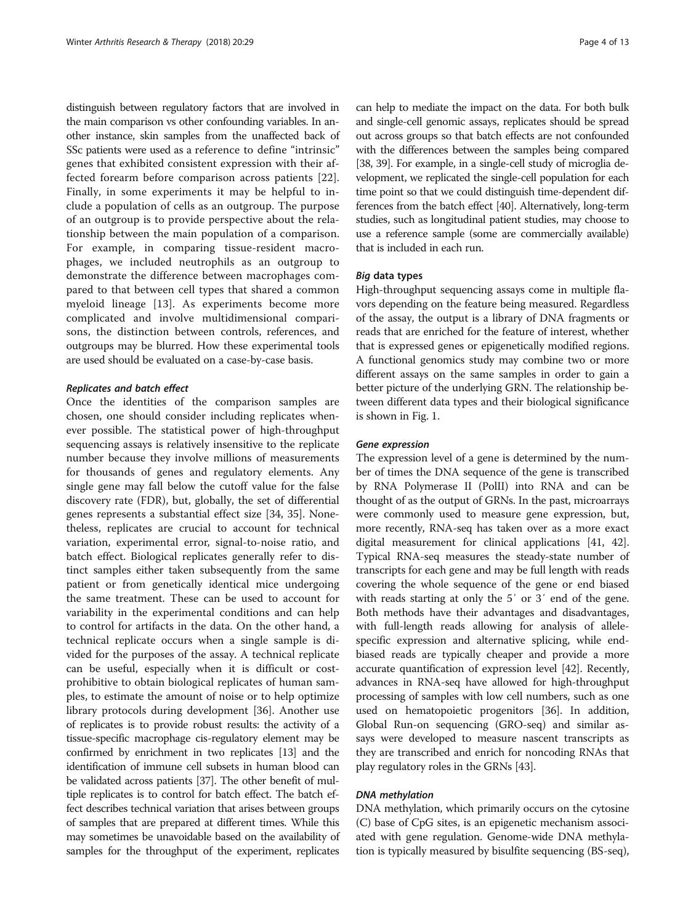distinguish between regulatory factors that are involved in the main comparison vs other confounding variables. In another instance, skin samples from the unaffected back of SSc patients were used as a reference to define "intrinsic" genes that exhibited consistent expression with their affected forearm before comparison across patients [\[22](#page-11-0)]. Finally, in some experiments it may be helpful to include a population of cells as an outgroup. The purpose of an outgroup is to provide perspective about the relationship between the main population of a comparison. For example, in comparing tissue-resident macrophages, we included neutrophils as an outgroup to demonstrate the difference between macrophages compared to that between cell types that shared a common myeloid lineage [\[13](#page-11-0)]. As experiments become more complicated and involve multidimensional comparisons, the distinction between controls, references, and outgroups may be blurred. How these experimental tools are used should be evaluated on a case-by-case basis.

# Replicates and batch effect

Once the identities of the comparison samples are chosen, one should consider including replicates whenever possible. The statistical power of high-throughput sequencing assays is relatively insensitive to the replicate number because they involve millions of measurements for thousands of genes and regulatory elements. Any single gene may fall below the cutoff value for the false discovery rate (FDR), but, globally, the set of differential genes represents a substantial effect size [[34](#page-11-0), [35\]](#page-11-0). Nonetheless, replicates are crucial to account for technical variation, experimental error, signal-to-noise ratio, and batch effect. Biological replicates generally refer to distinct samples either taken subsequently from the same patient or from genetically identical mice undergoing the same treatment. These can be used to account for variability in the experimental conditions and can help to control for artifacts in the data. On the other hand, a technical replicate occurs when a single sample is divided for the purposes of the assay. A technical replicate can be useful, especially when it is difficult or costprohibitive to obtain biological replicates of human samples, to estimate the amount of noise or to help optimize library protocols during development [[36\]](#page-11-0). Another use of replicates is to provide robust results: the activity of a tissue-specific macrophage cis-regulatory element may be confirmed by enrichment in two replicates [[13\]](#page-11-0) and the identification of immune cell subsets in human blood can be validated across patients [\[37](#page-11-0)]. The other benefit of multiple replicates is to control for batch effect. The batch effect describes technical variation that arises between groups of samples that are prepared at different times. While this may sometimes be unavoidable based on the availability of samples for the throughput of the experiment, replicates can help to mediate the impact on the data. For both bulk and single-cell genomic assays, replicates should be spread out across groups so that batch effects are not confounded with the differences between the samples being compared [[38](#page-11-0), [39](#page-11-0)]. For example, in a single-cell study of microglia development, we replicated the single-cell population for each time point so that we could distinguish time-dependent differences from the batch effect [[40](#page-11-0)]. Alternatively, long-term studies, such as longitudinal patient studies, may choose to use a reference sample (some are commercially available) that is included in each run.

#### Big data types

High-throughput sequencing assays come in multiple flavors depending on the feature being measured. Regardless of the assay, the output is a library of DNA fragments or reads that are enriched for the feature of interest, whether that is expressed genes or epigenetically modified regions. A functional genomics study may combine two or more different assays on the same samples in order to gain a better picture of the underlying GRN. The relationship between different data types and their biological significance is shown in Fig. [1](#page-4-0).

#### Gene expression

The expression level of a gene is determined by the number of times the DNA sequence of the gene is transcribed by RNA Polymerase II (PolII) into RNA and can be thought of as the output of GRNs. In the past, microarrays were commonly used to measure gene expression, but, more recently, RNA-seq has taken over as a more exact digital measurement for clinical applications [[41](#page-11-0), [42](#page-11-0)]. Typical RNA-seq measures the steady-state number of transcripts for each gene and may be full length with reads covering the whole sequence of the gene or end biased with reads starting at only the 5′ or 3′ end of the gene. Both methods have their advantages and disadvantages, with full-length reads allowing for analysis of allelespecific expression and alternative splicing, while endbiased reads are typically cheaper and provide a more accurate quantification of expression level [[42](#page-11-0)]. Recently, advances in RNA-seq have allowed for high-throughput processing of samples with low cell numbers, such as one used on hematopoietic progenitors [[36](#page-11-0)]. In addition, Global Run-on sequencing (GRO-seq) and similar assays were developed to measure nascent transcripts as they are transcribed and enrich for noncoding RNAs that play regulatory roles in the GRNs [\[43\]](#page-11-0).

#### DNA methylation

DNA methylation, which primarily occurs on the cytosine (C) base of CpG sites, is an epigenetic mechanism associated with gene regulation. Genome-wide DNA methylation is typically measured by bisulfite sequencing (BS-seq),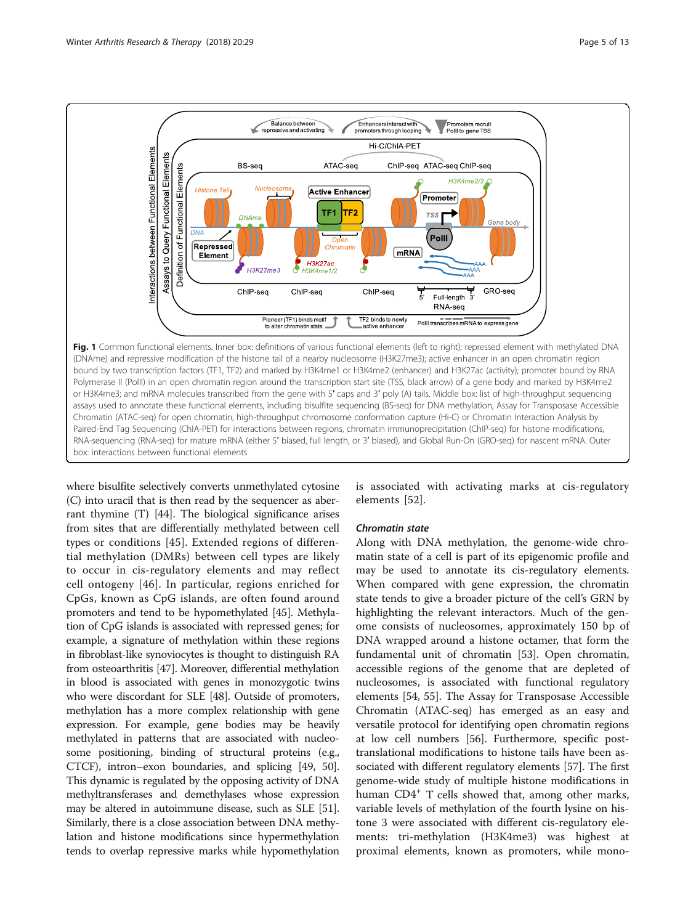<span id="page-4-0"></span>

Polymerase II (PolII) in an open chromatin region around the transcription start site (TSS, black arrow) of a gene body and marked by H3K4me2 or H3K4me3; and mRNA molecules transcribed from the gene with 5′ caps and 3′ poly (A) tails. Middle box: list of high-throughput sequencing assays used to annotate these functional elements, including bisulfite sequencing (BS-seq) for DNA methylation, Assay for Transposase Accessible Chromatin (ATAC-seq) for open chromatin, high-throughput chromosome conformation capture (Hi-C) or Chromatin Interaction Analysis by Paired-End Tag Sequencing (ChIA-PET) for interactions between regions, chromatin immunoprecipitation (ChIP-seq) for histone modifications, RNA-sequencing (RNA-seq) for mature mRNA (either 5′ biased, full length, or 3′ biased), and Global Run-On (GRO-seq) for nascent mRNA. Outer box: interactions between functional elements

where bisulfite selectively converts unmethylated cytosine (C) into uracil that is then read by the sequencer as aberrant thymine (T) [\[44\]](#page-11-0). The biological significance arises from sites that are differentially methylated between cell types or conditions [[45](#page-11-0)]. Extended regions of differential methylation (DMRs) between cell types are likely to occur in cis-regulatory elements and may reflect cell ontogeny [\[46](#page-11-0)]. In particular, regions enriched for CpGs, known as CpG islands, are often found around promoters and tend to be hypomethylated [\[45\]](#page-11-0). Methylation of CpG islands is associated with repressed genes; for example, a signature of methylation within these regions in fibroblast-like synoviocytes is thought to distinguish RA from osteoarthritis [\[47\]](#page-11-0). Moreover, differential methylation in blood is associated with genes in monozygotic twins who were discordant for SLE [\[48\]](#page-11-0). Outside of promoters, methylation has a more complex relationship with gene expression. For example, gene bodies may be heavily methylated in patterns that are associated with nucleosome positioning, binding of structural proteins (e.g., CTCF), intron–exon boundaries, and splicing [\[49](#page-11-0), [50](#page-12-0)]. This dynamic is regulated by the opposing activity of DNA methyltransferases and demethylases whose expression may be altered in autoimmune disease, such as SLE [[51](#page-12-0)]. Similarly, there is a close association between DNA methylation and histone modifications since hypermethylation tends to overlap repressive marks while hypomethylation

is associated with activating marks at cis-regulatory elements [[52](#page-12-0)].

# Chromatin state

Along with DNA methylation, the genome-wide chromatin state of a cell is part of its epigenomic profile and may be used to annotate its cis-regulatory elements. When compared with gene expression, the chromatin state tends to give a broader picture of the cell's GRN by highlighting the relevant interactors. Much of the genome consists of nucleosomes, approximately 150 bp of DNA wrapped around a histone octamer, that form the fundamental unit of chromatin [\[53](#page-12-0)]. Open chromatin, accessible regions of the genome that are depleted of nucleosomes, is associated with functional regulatory elements [[54](#page-12-0), [55\]](#page-12-0). The Assay for Transposase Accessible Chromatin (ATAC-seq) has emerged as an easy and versatile protocol for identifying open chromatin regions at low cell numbers [[56\]](#page-12-0). Furthermore, specific posttranslational modifications to histone tails have been associated with different regulatory elements [[57](#page-12-0)]. The first genome-wide study of multiple histone modifications in human CD4<sup>+</sup> T cells showed that, among other marks, variable levels of methylation of the fourth lysine on histone 3 were associated with different cis-regulatory elements: tri-methylation (H3K4me3) was highest at proximal elements, known as promoters, while mono-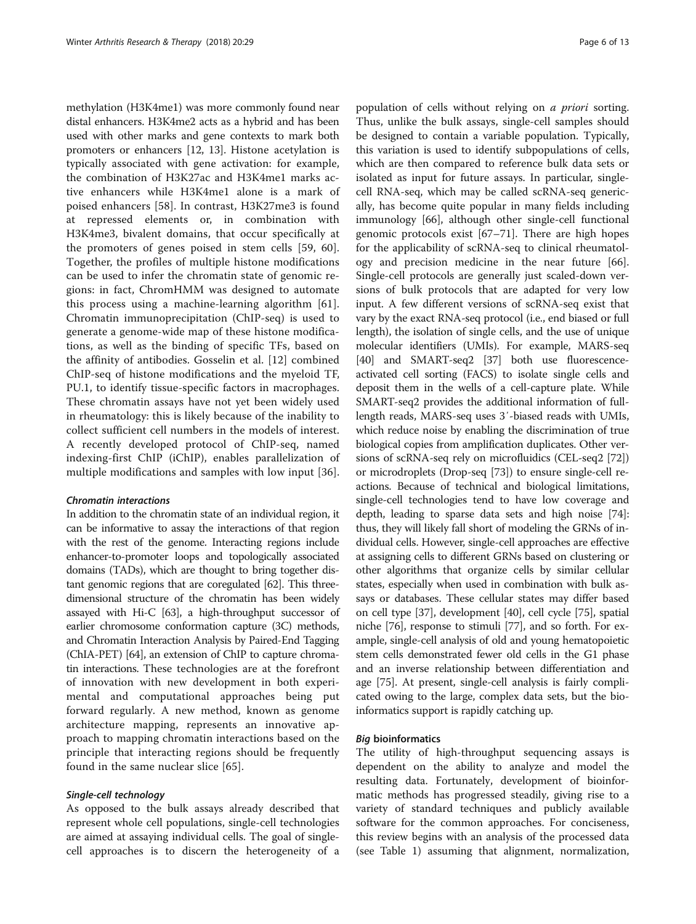methylation (H3K4me1) was more commonly found near distal enhancers. H3K4me2 acts as a hybrid and has been used with other marks and gene contexts to mark both promoters or enhancers [[12](#page-11-0), [13](#page-11-0)]. Histone acetylation is typically associated with gene activation: for example, the combination of H3K27ac and H3K4me1 marks active enhancers while H3K4me1 alone is a mark of poised enhancers [\[58](#page-12-0)]. In contrast, H3K27me3 is found at repressed elements or, in combination with H3K4me3, bivalent domains, that occur specifically at the promoters of genes poised in stem cells [\[59](#page-12-0), [60](#page-12-0)]. Together, the profiles of multiple histone modifications can be used to infer the chromatin state of genomic regions: in fact, ChromHMM was designed to automate this process using a machine-learning algorithm [[61](#page-12-0)]. Chromatin immunoprecipitation (ChIP-seq) is used to generate a genome-wide map of these histone modifications, as well as the binding of specific TFs, based on the affinity of antibodies. Gosselin et al. [[12\]](#page-11-0) combined ChIP-seq of histone modifications and the myeloid TF, PU.1, to identify tissue-specific factors in macrophages. These chromatin assays have not yet been widely used in rheumatology: this is likely because of the inability to collect sufficient cell numbers in the models of interest. A recently developed protocol of ChIP-seq, named indexing-first ChIP (iChIP), enables parallelization of multiple modifications and samples with low input [\[36](#page-11-0)].

# Chromatin interactions

In addition to the chromatin state of an individual region, it can be informative to assay the interactions of that region with the rest of the genome. Interacting regions include enhancer-to-promoter loops and topologically associated domains (TADs), which are thought to bring together distant genomic regions that are coregulated [[62](#page-12-0)]. This threedimensional structure of the chromatin has been widely assayed with Hi-C [\[63\]](#page-12-0), a high-throughput successor of earlier chromosome conformation capture (3C) methods, and Chromatin Interaction Analysis by Paired-End Tagging (ChIA-PET) [\[64\]](#page-12-0), an extension of ChIP to capture chromatin interactions. These technologies are at the forefront of innovation with new development in both experimental and computational approaches being put forward regularly. A new method, known as genome architecture mapping, represents an innovative approach to mapping chromatin interactions based on the principle that interacting regions should be frequently found in the same nuclear slice [\[65](#page-12-0)].

#### Single-cell technology

As opposed to the bulk assays already described that represent whole cell populations, single-cell technologies are aimed at assaying individual cells. The goal of singlecell approaches is to discern the heterogeneity of a

population of cells without relying on a priori sorting. Thus, unlike the bulk assays, single-cell samples should be designed to contain a variable population. Typically, this variation is used to identify subpopulations of cells, which are then compared to reference bulk data sets or isolated as input for future assays. In particular, singlecell RNA-seq, which may be called scRNA-seq generically, has become quite popular in many fields including immunology [\[66](#page-12-0)], although other single-cell functional genomic protocols exist [\[67](#page-12-0)–[71\]](#page-12-0). There are high hopes for the applicability of scRNA-seq to clinical rheumatology and precision medicine in the near future [\[66](#page-12-0)]. Single-cell protocols are generally just scaled-down versions of bulk protocols that are adapted for very low input. A few different versions of scRNA-seq exist that vary by the exact RNA-seq protocol (i.e., end biased or full length), the isolation of single cells, and the use of unique molecular identifiers (UMIs). For example, MARS-seq [[40](#page-11-0)] and SMART-seq2 [[37](#page-11-0)] both use fluorescenceactivated cell sorting (FACS) to isolate single cells and deposit them in the wells of a cell-capture plate. While SMART-seq2 provides the additional information of fulllength reads, MARS-seq uses 3′-biased reads with UMIs, which reduce noise by enabling the discrimination of true biological copies from amplification duplicates. Other versions of scRNA-seq rely on microfluidics (CEL-seq2 [[72](#page-12-0)]) or microdroplets (Drop-seq [\[73\]](#page-12-0)) to ensure single-cell reactions. Because of technical and biological limitations, single-cell technologies tend to have low coverage and depth, leading to sparse data sets and high noise [[74](#page-12-0)]: thus, they will likely fall short of modeling the GRNs of individual cells. However, single-cell approaches are effective at assigning cells to different GRNs based on clustering or other algorithms that organize cells by similar cellular states, especially when used in combination with bulk assays or databases. These cellular states may differ based on cell type [\[37\]](#page-11-0), development [\[40\]](#page-11-0), cell cycle [\[75\]](#page-12-0), spatial niche [[76\]](#page-12-0), response to stimuli [\[77\]](#page-12-0), and so forth. For example, single-cell analysis of old and young hematopoietic stem cells demonstrated fewer old cells in the G1 phase and an inverse relationship between differentiation and age [\[75\]](#page-12-0). At present, single-cell analysis is fairly complicated owing to the large, complex data sets, but the bioinformatics support is rapidly catching up.

#### Big bioinformatics

The utility of high-throughput sequencing assays is dependent on the ability to analyze and model the resulting data. Fortunately, development of bioinformatic methods has progressed steadily, giving rise to a variety of standard techniques and publicly available software for the common approaches. For conciseness, this review begins with an analysis of the processed data (see Table [1\)](#page-6-0) assuming that alignment, normalization,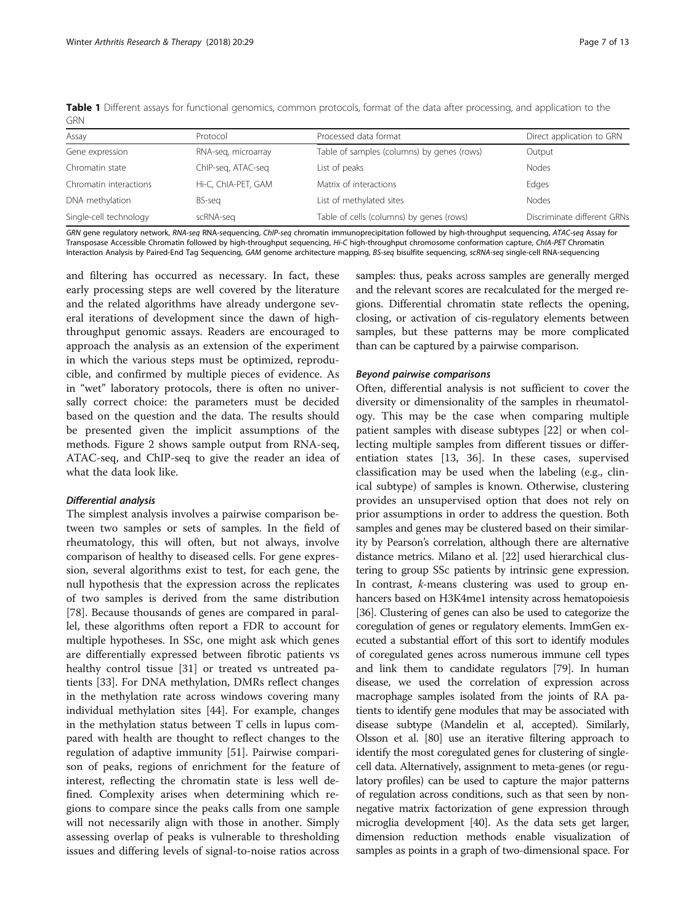| <b>UINY</b>            |                     |                                            |                             |
|------------------------|---------------------|--------------------------------------------|-----------------------------|
| Assay                  | Protocol            | Processed data format                      | Direct application to GRN   |
| Gene expression        | RNA-seg, microarray | Table of samples (columns) by genes (rows) | Output                      |
| Chromatin state        | ChIP-seg, ATAC-seg  | List of peaks                              | Nodes                       |
| Chromatin interactions | Hi-C, ChIA-PET, GAM | Matrix of interactions                     | Edges                       |
| DNA methylation        | BS-seg              | List of methylated sites                   | Nodes                       |
| Single-cell technology | scRNA-seg           | Table of cells (columns) by genes (rows)   | Discriminate different GRNs |

<span id="page-6-0"></span>Table 1 Different assays for functional genomics, common protocols, format of the data after processing, and application to the  $CDN$ 

GRN gene regulatory network, RNA-seq RNA-sequencing, ChIP-seq chromatin immunoprecipitation followed by high-throughput sequencing, ATAC-seq Assay for Transposase Accessible Chromatin followed by high-throughput sequencing, Hi-C high-throughput chromosome conformation capture, ChIA-PET Chromatin Interaction Analysis by Paired-End Tag Sequencing, GAM genome architecture mapping, BS-seq bisulfite sequencing, scRNA-seq single-cell RNA-sequencing

and filtering has occurred as necessary. In fact, these early processing steps are well covered by the literature and the related algorithms have already undergone several iterations of development since the dawn of highthroughput genomic assays. Readers are encouraged to approach the analysis as an extension of the experiment in which the various steps must be optimized, reproducible, and confirmed by multiple pieces of evidence. As in "wet" laboratory protocols, there is often no universally correct choice: the parameters must be decided based on the question and the data. The results should be presented given the implicit assumptions of the methods. Figure [2](#page-8-0) shows sample output from RNA-seq, ATAC-seq, and ChIP-seq to give the reader an idea of what the data look like.

# Differential analysis

The simplest analysis involves a pairwise comparison between two samples or sets of samples. In the field of rheumatology, this will often, but not always, involve comparison of healthy to diseased cells. For gene expression, several algorithms exist to test, for each gene, the null hypothesis that the expression across the replicates of two samples is derived from the same distribution [[78\]](#page-12-0). Because thousands of genes are compared in parallel, these algorithms often report a FDR to account for multiple hypotheses. In SSc, one might ask which genes are differentially expressed between fibrotic patients vs healthy control tissue [\[31\]](#page-11-0) or treated vs untreated patients [[33](#page-11-0)]. For DNA methylation, DMRs reflect changes in the methylation rate across windows covering many individual methylation sites [[44\]](#page-11-0). For example, changes in the methylation status between T cells in lupus compared with health are thought to reflect changes to the regulation of adaptive immunity [\[51](#page-12-0)]. Pairwise comparison of peaks, regions of enrichment for the feature of interest, reflecting the chromatin state is less well defined. Complexity arises when determining which regions to compare since the peaks calls from one sample will not necessarily align with those in another. Simply assessing overlap of peaks is vulnerable to thresholding issues and differing levels of signal-to-noise ratios across samples: thus, peaks across samples are generally merged and the relevant scores are recalculated for the merged regions. Differential chromatin state reflects the opening, closing, or activation of cis-regulatory elements between samples, but these patterns may be more complicated than can be captured by a pairwise comparison.

#### Beyond pairwise comparisons

Often, differential analysis is not sufficient to cover the diversity or dimensionality of the samples in rheumatology. This may be the case when comparing multiple patient samples with disease subtypes [\[22](#page-11-0)] or when collecting multiple samples from different tissues or differentiation states [[13](#page-11-0), [36](#page-11-0)]. In these cases, supervised classification may be used when the labeling (e.g., clinical subtype) of samples is known. Otherwise, clustering provides an unsupervised option that does not rely on prior assumptions in order to address the question. Both samples and genes may be clustered based on their similarity by Pearson's correlation, although there are alternative distance metrics. Milano et al. [[22](#page-11-0)] used hierarchical clustering to group SSc patients by intrinsic gene expression. In contrast, k-means clustering was used to group enhancers based on H3K4me1 intensity across hematopoiesis [[36](#page-11-0)]. Clustering of genes can also be used to categorize the coregulation of genes or regulatory elements. ImmGen executed a substantial effort of this sort to identify modules of coregulated genes across numerous immune cell types and link them to candidate regulators [\[79\]](#page-12-0). In human disease, we used the correlation of expression across macrophage samples isolated from the joints of RA patients to identify gene modules that may be associated with disease subtype (Mandelin et al, accepted). Similarly, Olsson et al. [\[80\]](#page-12-0) use an iterative filtering approach to identify the most coregulated genes for clustering of singlecell data. Alternatively, assignment to meta-genes (or regulatory profiles) can be used to capture the major patterns of regulation across conditions, such as that seen by nonnegative matrix factorization of gene expression through microglia development [\[40\]](#page-11-0). As the data sets get larger, dimension reduction methods enable visualization of samples as points in a graph of two-dimensional space. For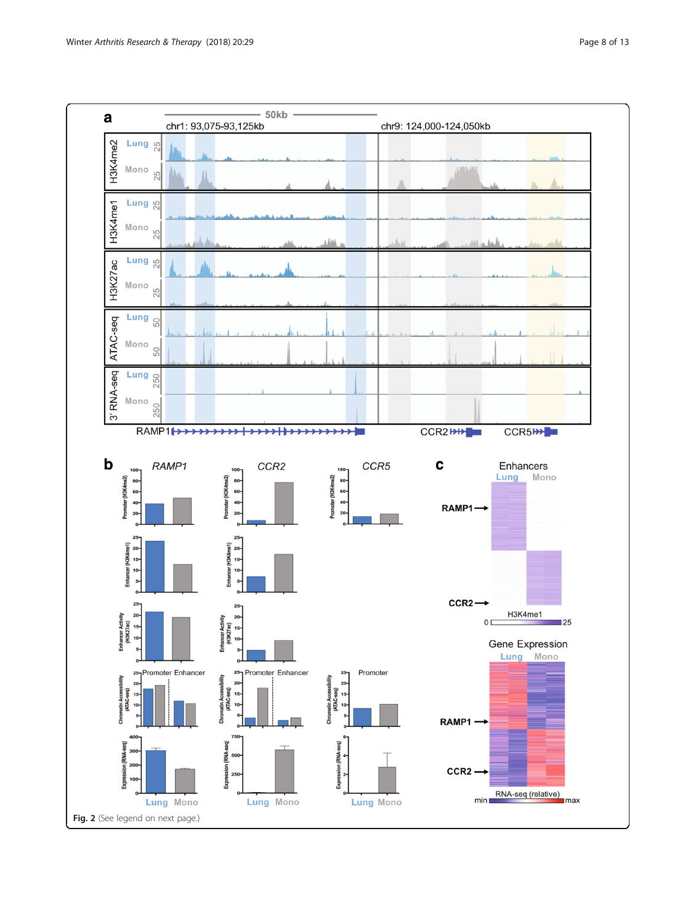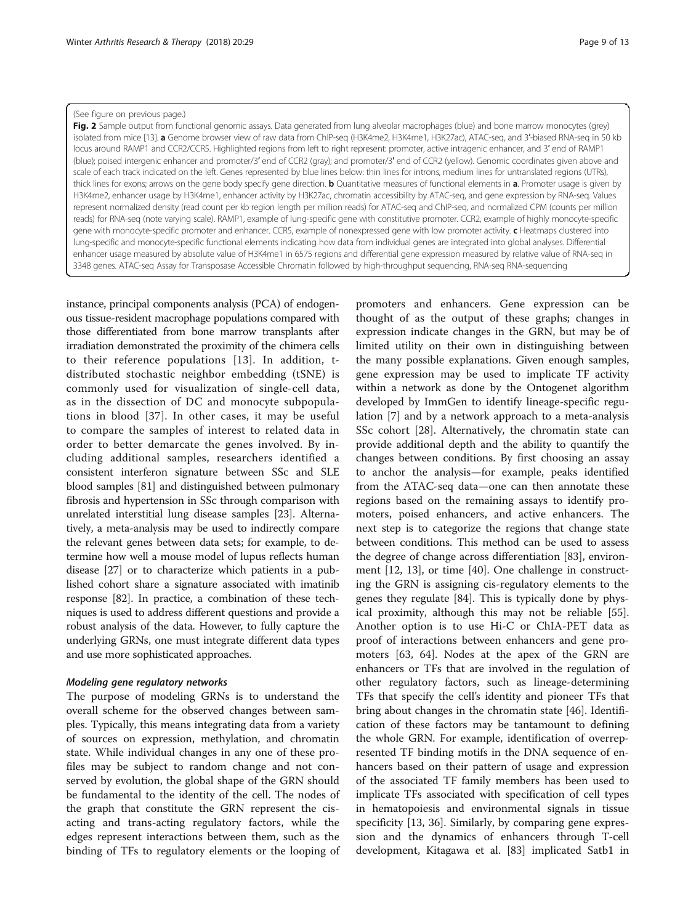#### <span id="page-8-0"></span>(See figure on previous page.)

Fig. 2 Sample output from functional genomic assays. Data generated from lung alveolar macrophages (blue) and bone marrow monocytes (grey) isolated from mice [[13](#page-11-0)]. a Genome browser view of raw data from ChIP-seq (H3K4me2, H3K4me1, H3K27ac), ATAC-seq, and 3'-biased RNA-seq in 50 kb locus around RAMP1 and CCR2/CCR5. Highlighted regions from left to right represent: promoter, active intragenic enhancer, and 3′ end of RAMP1 (blue); poised intergenic enhancer and promoter/3′ end of CCR2 (gray); and promoter/3′ end of CCR2 (yellow). Genomic coordinates given above and scale of each track indicated on the left. Genes represented by blue lines below: thin lines for introns, medium lines for untranslated regions (UTRs), thick lines for exons; arrows on the gene body specify gene direction. **b** Quantitative measures of functional elements in a. Promoter usage is given by H3K4me2, enhancer usage by H3K4me1, enhancer activity by H3K27ac, chromatin accessibility by ATAC-seq, and gene expression by RNA-seq. Values represent normalized density (read count per kb region length per million reads) for ATAC-seq and ChIP-seq, and normalized CPM (counts per million reads) for RNA-seq (note varying scale). RAMP1, example of lung-specific gene with constitutive promoter. CCR2, example of highly monocyte-specific gene with monocyte-specific promoter and enhancer. CCR5, example of nonexpressed gene with low promoter activity. c Heatmaps clustered into lung-specific and monocyte-specific functional elements indicating how data from individual genes are integrated into global analyses. Differential enhancer usage measured by absolute value of H3K4me1 in 6575 regions and differential gene expression measured by relative value of RNA-seq in 3348 genes. ATAC-seq Assay for Transposase Accessible Chromatin followed by high-throughput sequencing, RNA-seq RNA-sequencing

instance, principal components analysis (PCA) of endogenous tissue-resident macrophage populations compared with those differentiated from bone marrow transplants after irradiation demonstrated the proximity of the chimera cells to their reference populations [[13\]](#page-11-0). In addition, tdistributed stochastic neighbor embedding (tSNE) is commonly used for visualization of single-cell data, as in the dissection of DC and monocyte subpopulations in blood [\[37\]](#page-11-0). In other cases, it may be useful to compare the samples of interest to related data in order to better demarcate the genes involved. By including additional samples, researchers identified a consistent interferon signature between SSc and SLE blood samples [[81](#page-12-0)] and distinguished between pulmonary fibrosis and hypertension in SSc through comparison with unrelated interstitial lung disease samples [[23](#page-11-0)]. Alternatively, a meta-analysis may be used to indirectly compare the relevant genes between data sets; for example, to determine how well a mouse model of lupus reflects human disease [\[27\]](#page-11-0) or to characterize which patients in a published cohort share a signature associated with imatinib response [\[82\]](#page-12-0). In practice, a combination of these techniques is used to address different questions and provide a robust analysis of the data. However, to fully capture the underlying GRNs, one must integrate different data types and use more sophisticated approaches.

#### Modeling gene regulatory networks

The purpose of modeling GRNs is to understand the overall scheme for the observed changes between samples. Typically, this means integrating data from a variety of sources on expression, methylation, and chromatin state. While individual changes in any one of these profiles may be subject to random change and not conserved by evolution, the global shape of the GRN should be fundamental to the identity of the cell. The nodes of the graph that constitute the GRN represent the cisacting and trans-acting regulatory factors, while the edges represent interactions between them, such as the binding of TFs to regulatory elements or the looping of

promoters and enhancers. Gene expression can be thought of as the output of these graphs; changes in expression indicate changes in the GRN, but may be of limited utility on their own in distinguishing between the many possible explanations. Given enough samples, gene expression may be used to implicate TF activity within a network as done by the Ontogenet algorithm developed by ImmGen to identify lineage-specific regulation [[7\]](#page-11-0) and by a network approach to a meta-analysis SSc cohort [\[28\]](#page-11-0). Alternatively, the chromatin state can provide additional depth and the ability to quantify the changes between conditions. By first choosing an assay to anchor the analysis—for example, peaks identified from the ATAC-seq data—one can then annotate these regions based on the remaining assays to identify promoters, poised enhancers, and active enhancers. The next step is to categorize the regions that change state between conditions. This method can be used to assess the degree of change across differentiation [[83](#page-12-0)], environment [[12](#page-11-0), [13\]](#page-11-0), or time [[40\]](#page-11-0). One challenge in constructing the GRN is assigning cis-regulatory elements to the genes they regulate [\[84](#page-12-0)]. This is typically done by physical proximity, although this may not be reliable [\[55](#page-12-0)]. Another option is to use Hi-C or ChIA-PET data as proof of interactions between enhancers and gene promoters [[63, 64](#page-12-0)]. Nodes at the apex of the GRN are enhancers or TFs that are involved in the regulation of other regulatory factors, such as lineage-determining TFs that specify the cell's identity and pioneer TFs that bring about changes in the chromatin state [[46](#page-11-0)]. Identification of these factors may be tantamount to defining the whole GRN. For example, identification of overrepresented TF binding motifs in the DNA sequence of enhancers based on their pattern of usage and expression of the associated TF family members has been used to implicate TFs associated with specification of cell types in hematopoiesis and environmental signals in tissue specificity [[13](#page-11-0), [36\]](#page-11-0). Similarly, by comparing gene expression and the dynamics of enhancers through T-cell development, Kitagawa et al. [\[83\]](#page-12-0) implicated Satb1 in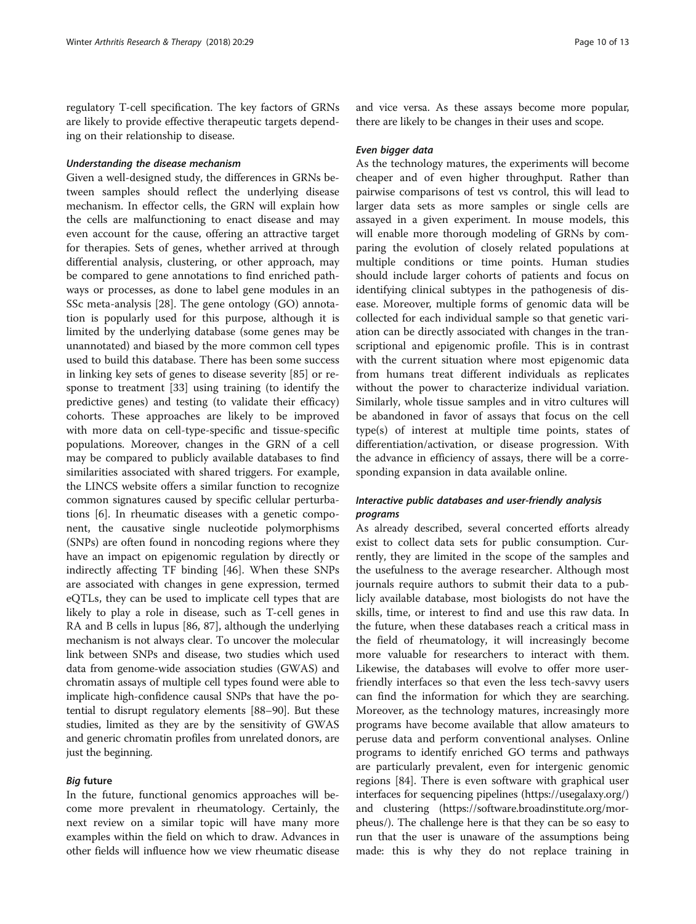regulatory T-cell specification. The key factors of GRNs are likely to provide effective therapeutic targets depending on their relationship to disease.

# Understanding the disease mechanism

Given a well-designed study, the differences in GRNs between samples should reflect the underlying disease mechanism. In effector cells, the GRN will explain how the cells are malfunctioning to enact disease and may even account for the cause, offering an attractive target for therapies. Sets of genes, whether arrived at through differential analysis, clustering, or other approach, may be compared to gene annotations to find enriched pathways or processes, as done to label gene modules in an SSc meta-analysis [[28\]](#page-11-0). The gene ontology (GO) annotation is popularly used for this purpose, although it is limited by the underlying database (some genes may be unannotated) and biased by the more common cell types used to build this database. There has been some success in linking key sets of genes to disease severity [[85\]](#page-12-0) or response to treatment [\[33](#page-11-0)] using training (to identify the predictive genes) and testing (to validate their efficacy) cohorts. These approaches are likely to be improved with more data on cell-type-specific and tissue-specific populations. Moreover, changes in the GRN of a cell may be compared to publicly available databases to find similarities associated with shared triggers. For example, the LINCS website offers a similar function to recognize common signatures caused by specific cellular perturbations [\[6](#page-10-0)]. In rheumatic diseases with a genetic component, the causative single nucleotide polymorphisms (SNPs) are often found in noncoding regions where they have an impact on epigenomic regulation by directly or indirectly affecting TF binding [[46\]](#page-11-0). When these SNPs are associated with changes in gene expression, termed eQTLs, they can be used to implicate cell types that are likely to play a role in disease, such as T-cell genes in RA and B cells in lupus [\[86](#page-12-0), [87](#page-12-0)], although the underlying mechanism is not always clear. To uncover the molecular link between SNPs and disease, two studies which used data from genome-wide association studies (GWAS) and chromatin assays of multiple cell types found were able to implicate high-confidence causal SNPs that have the potential to disrupt regulatory elements [[88](#page-12-0)–[90\]](#page-12-0). But these studies, limited as they are by the sensitivity of GWAS and generic chromatin profiles from unrelated donors, are just the beginning.

# Big future

In the future, functional genomics approaches will become more prevalent in rheumatology. Certainly, the next review on a similar topic will have many more examples within the field on which to draw. Advances in other fields will influence how we view rheumatic disease and vice versa. As these assays become more popular, there are likely to be changes in their uses and scope.

#### Even bigger data

As the technology matures, the experiments will become cheaper and of even higher throughput. Rather than pairwise comparisons of test vs control, this will lead to larger data sets as more samples or single cells are assayed in a given experiment. In mouse models, this will enable more thorough modeling of GRNs by comparing the evolution of closely related populations at multiple conditions or time points. Human studies should include larger cohorts of patients and focus on identifying clinical subtypes in the pathogenesis of disease. Moreover, multiple forms of genomic data will be collected for each individual sample so that genetic variation can be directly associated with changes in the transcriptional and epigenomic profile. This is in contrast with the current situation where most epigenomic data from humans treat different individuals as replicates without the power to characterize individual variation. Similarly, whole tissue samples and in vitro cultures will be abandoned in favor of assays that focus on the cell type(s) of interest at multiple time points, states of differentiation/activation, or disease progression. With the advance in efficiency of assays, there will be a corresponding expansion in data available online.

# Interactive public databases and user-friendly analysis programs

As already described, several concerted efforts already exist to collect data sets for public consumption. Currently, they are limited in the scope of the samples and the usefulness to the average researcher. Although most journals require authors to submit their data to a publicly available database, most biologists do not have the skills, time, or interest to find and use this raw data. In the future, when these databases reach a critical mass in the field of rheumatology, it will increasingly become more valuable for researchers to interact with them. Likewise, the databases will evolve to offer more userfriendly interfaces so that even the less tech-savvy users can find the information for which they are searching. Moreover, as the technology matures, increasingly more programs have become available that allow amateurs to peruse data and perform conventional analyses. Online programs to identify enriched GO terms and pathways are particularly prevalent, even for intergenic genomic regions [\[84](#page-12-0)]. There is even software with graphical user interfaces for sequencing pipelines [\(https://usegalaxy.org/](https://usegalaxy.org/)) and clustering [\(https://software.broadinstitute.org/mor](https://software.broadinstitute.org/morpheus/)[pheus/\)](https://software.broadinstitute.org/morpheus/). The challenge here is that they can be so easy to run that the user is unaware of the assumptions being made: this is why they do not replace training in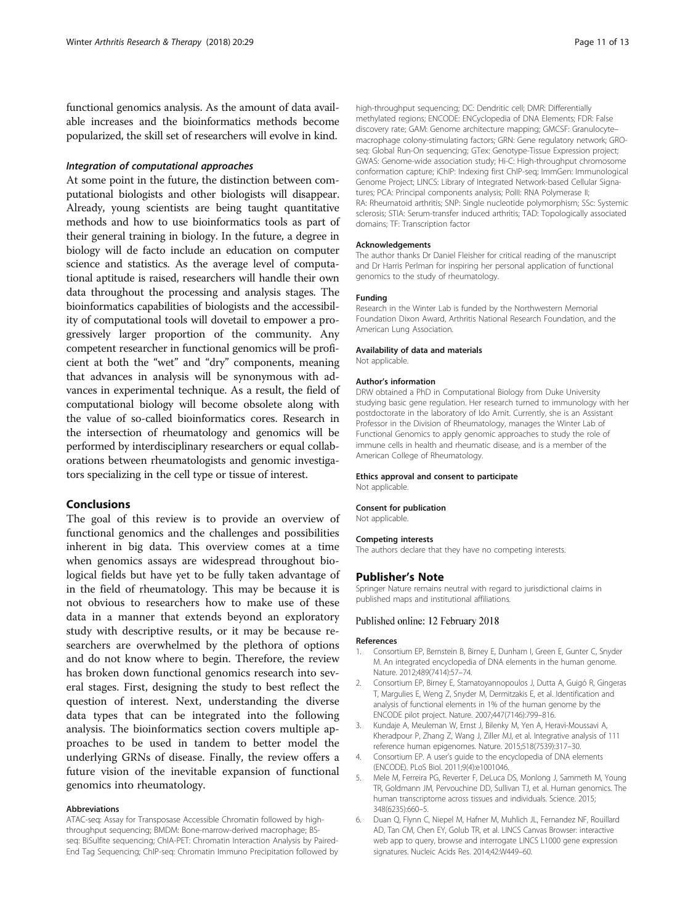<span id="page-10-0"></span>functional genomics analysis. As the amount of data available increases and the bioinformatics methods become popularized, the skill set of researchers will evolve in kind.

#### Integration of computational approaches

At some point in the future, the distinction between computational biologists and other biologists will disappear. Already, young scientists are being taught quantitative methods and how to use bioinformatics tools as part of their general training in biology. In the future, a degree in biology will de facto include an education on computer science and statistics. As the average level of computational aptitude is raised, researchers will handle their own data throughout the processing and analysis stages. The bioinformatics capabilities of biologists and the accessibility of computational tools will dovetail to empower a progressively larger proportion of the community. Any competent researcher in functional genomics will be proficient at both the "wet" and "dry" components, meaning that advances in analysis will be synonymous with advances in experimental technique. As a result, the field of computational biology will become obsolete along with the value of so-called bioinformatics cores. Research in the intersection of rheumatology and genomics will be performed by interdisciplinary researchers or equal collaborations between rheumatologists and genomic investigators specializing in the cell type or tissue of interest.

# Conclusions

The goal of this review is to provide an overview of functional genomics and the challenges and possibilities inherent in big data. This overview comes at a time when genomics assays are widespread throughout biological fields but have yet to be fully taken advantage of in the field of rheumatology. This may be because it is not obvious to researchers how to make use of these data in a manner that extends beyond an exploratory study with descriptive results, or it may be because researchers are overwhelmed by the plethora of options and do not know where to begin. Therefore, the review has broken down functional genomics research into several stages. First, designing the study to best reflect the question of interest. Next, understanding the diverse data types that can be integrated into the following analysis. The bioinformatics section covers multiple approaches to be used in tandem to better model the underlying GRNs of disease. Finally, the review offers a future vision of the inevitable expansion of functional genomics into rheumatology.

#### Abbreviations

ATAC-seq: Assay for Transposase Accessible Chromatin followed by highthroughput sequencing; BMDM: Bone-marrow-derived macrophage; BSseq: BiSulfite sequencing; ChIA-PET: Chromatin Interaction Analysis by Paired-End Tag Sequencing; ChIP-seq: Chromatin Immuno Precipitation followed by high-throughput sequencing; DC: Dendritic cell; DMR: Differentially methylated regions; ENCODE: ENCyclopedia of DNA Elements; FDR: False discovery rate; GAM: Genome architecture mapping; GMCSF: Granulocyte– macrophage colony-stimulating factors; GRN: Gene regulatory network; GROseq: Global Run-On sequencing; GTex: Genotype-Tissue Expression project; GWAS: Genome-wide association study; Hi-C: High-throughput chromosome conformation capture; iChIP: Indexing first ChIP-seq; ImmGen: Immunological Genome Project; LINCS: Library of Integrated Network-based Cellular Signatures; PCA: Principal components analysis; PolII: RNA Polymerase II; RA: Rheumatoid arthritis; SNP: Single nucleotide polymorphism; SSc: Systemic sclerosis; STIA: Serum-transfer induced arthritis; TAD: Topologically associated domains; TF: Transcription factor

#### Acknowledgements

The author thanks Dr Daniel Fleisher for critical reading of the manuscript and Dr Harris Perlman for inspiring her personal application of functional genomics to the study of rheumatology.

#### Funding

Research in the Winter Lab is funded by the Northwestern Memorial Foundation Dixon Award, Arthritis National Research Foundation, and the American Lung Association.

#### Availability of data and materials Not applicable.

# Author's information

DRW obtained a PhD in Computational Biology from Duke University studying basic gene regulation. Her research turned to immunology with her postdoctorate in the laboratory of Ido Amit. Currently, she is an Assistant Professor in the Division of Rheumatology, manages the Winter Lab of Functional Genomics to apply genomic approaches to study the role of immune cells in health and rheumatic disease, and is a member of the American College of Rheumatology.

#### Ethics approval and consent to participate

Not applicable.

#### Consent for publication

Not applicable.

#### Competing interests

The authors declare that they have no competing interests.

#### Publisher's Note

Springer Nature remains neutral with regard to jurisdictional claims in published maps and institutional affiliations.

#### Published online: 12 February 2018

#### References

- 1. Consortium EP, Bernstein B, Birney E, Dunham I, Green E, Gunter C, Snyder M. An integrated encyclopedia of DNA elements in the human genome. Nature. 2012;489(7414):57–74.
- 2. Consortium EP, Birney E, Stamatoyannopoulos J, Dutta A, Guigó R, Gingeras T, Margulies E, Weng Z, Snyder M, Dermitzakis E, et al. Identification and analysis of functional elements in 1% of the human genome by the ENCODE pilot project. Nature. 2007;447(7146):799–816.
- 3. Kundaje A, Meuleman W, Ernst J, Bilenky M, Yen A, Heravi-Moussavi A, Kheradpour P, Zhang Z, Wang J, Ziller MJ, et al. Integrative analysis of 111 reference human epigenomes. Nature. 2015;518(7539):317–30.
- 4. Consortium EP. A user's guide to the encyclopedia of DNA elements (ENCODE). PLoS Biol. 2011;9(4):e1001046.
- 5. Mele M, Ferreira PG, Reverter F, DeLuca DS, Monlong J, Sammeth M, Young TR, Goldmann JM, Pervouchine DD, Sullivan TJ, et al. Human genomics. The human transcriptome across tissues and individuals. Science. 2015; 348(6235):660–5.
- 6. Duan Q, Flynn C, Niepel M, Hafner M, Muhlich JL, Fernandez NF, Rouillard AD, Tan CM, Chen EY, Golub TR, et al. LINCS Canvas Browser: interactive web app to query, browse and interrogate LINCS L1000 gene expression signatures. Nucleic Acids Res. 2014;42:W449–60.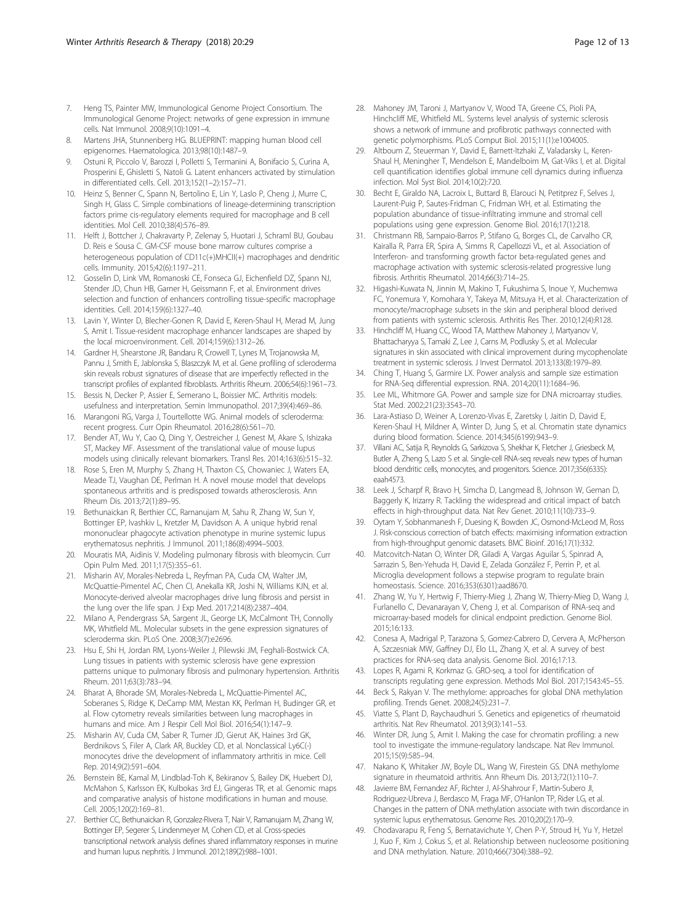- <span id="page-11-0"></span>7. Heng TS, Painter MW, Immunological Genome Project Consortium. The Immunological Genome Project: networks of gene expression in immune cells. Nat Immunol. 2008;9(10):1091–4.
- 8. Martens JHA, Stunnenberg HG. BLUEPRINT: mapping human blood cell epigenomes. Haematologica. 2013;98(10):1487–9.
- 9. Ostuni R, Piccolo V, Barozzi I, Polletti S, Termanini A, Bonifacio S, Curina A, Prosperini E, Ghisletti S, Natoli G. Latent enhancers activated by stimulation in differentiated cells. Cell. 2013;152(1–2):157–71.
- 10. Heinz S, Benner C, Spann N, Bertolino E, Lin Y, Laslo P, Cheng J, Murre C, Singh H, Glass C. Simple combinations of lineage-determining transcription factors prime cis-regulatory elements required for macrophage and B cell identities. Mol Cell. 2010;38(4):576–89.
- 11. Helft J, Bottcher J, Chakravarty P, Zelenay S, Huotari J, Schraml BU, Goubau D. Reis e Sousa C. GM-CSF mouse bone marrow cultures comprise a heterogeneous population of CD11c(+)MHCII(+) macrophages and dendritic cells. Immunity. 2015;42(6):1197–211.
- 12. Gosselin D, Link VM, Romanoski CE, Fonseca GJ, Eichenfield DZ, Spann NJ, Stender JD, Chun HB, Garner H, Geissmann F, et al. Environment drives selection and function of enhancers controlling tissue-specific macrophage identities. Cell. 2014;159(6):1327–40.
- 13. Lavin Y, Winter D, Blecher-Gonen R, David E, Keren-Shaul H, Merad M, Jung S, Amit I. Tissue-resident macrophage enhancer landscapes are shaped by the local microenvironment. Cell. 2014;159(6):1312–26.
- 14. Gardner H, Shearstone JR, Bandaru R, Crowell T, Lynes M, Trojanowska M, Pannu J, Smith E, Jablonska S, Blaszczyk M, et al. Gene profiling of scleroderma skin reveals robust signatures of disease that are imperfectly reflected in the transcript profiles of explanted fibroblasts. Arthritis Rheum. 2006;54(6):1961–73.
- 15. Bessis N, Decker P, Assier E, Semerano L, Boissier MC. Arthritis models: usefulness and interpretation. Semin Immunopathol. 2017;39(4):469–86.
- 16. Marangoni RG, Varga J, Tourtellotte WG. Animal models of scleroderma: recent progress. Curr Opin Rheumatol. 2016;28(6):561–70.
- 17. Bender AT, Wu Y, Cao Q, Ding Y, Oestreicher J, Genest M, Akare S, Ishizaka ST, Mackey MF. Assessment of the translational value of mouse lupus models using clinically relevant biomarkers. Transl Res. 2014;163(6):515–32.
- 18. Rose S, Eren M, Murphy S, Zhang H, Thaxton CS, Chowaniec J, Waters EA, Meade TJ, Vaughan DE, Perlman H. A novel mouse model that develops spontaneous arthritis and is predisposed towards atherosclerosis. Ann Rheum Dis. 2013;72(1):89–95.
- 19. Bethunaickan R, Berthier CC, Ramanujam M, Sahu R, Zhang W, Sun Y, Bottinger EP, Ivashkiv L, Kretzler M, Davidson A. A unique hybrid renal mononuclear phagocyte activation phenotype in murine systemic lupus erythematosus nephritis. J Immunol. 2011;186(8):4994–5003.
- 20. Mouratis MA, Aidinis V. Modeling pulmonary fibrosis with bleomycin. Curr Opin Pulm Med. 2011;17(5):355–61.
- 21. Misharin AV, Morales-Nebreda L, Reyfman PA, Cuda CM, Walter JM, McQuattie-Pimentel AC, Chen CI, Anekalla KR, Joshi N, Williams KJN, et al. Monocyte-derived alveolar macrophages drive lung fibrosis and persist in the lung over the life span. J Exp Med. 2017;214(8):2387–404.
- 22. Milano A, Pendergrass SA, Sargent JL, George LK, McCalmont TH, Connolly MK, Whitfield ML. Molecular subsets in the gene expression signatures of scleroderma skin. PLoS One. 2008;3(7):e2696.
- 23. Hsu E, Shi H, Jordan RM, Lyons-Weiler J, Pilewski JM, Feghali-Bostwick CA. Lung tissues in patients with systemic sclerosis have gene expression patterns unique to pulmonary fibrosis and pulmonary hypertension. Arthritis Rheum. 2011;63(3):783–94.
- 24. Bharat A, Bhorade SM, Morales-Nebreda L, McQuattie-Pimentel AC, Soberanes S, Ridge K, DeCamp MM, Mestan KK, Perlman H, Budinger GR, et al. Flow cytometry reveals similarities between lung macrophages in humans and mice. Am J Respir Cell Mol Biol. 2016;54(1):147–9.
- 25. Misharin AV, Cuda CM, Saber R, Turner JD, Gierut AK, Haines 3rd GK, Berdnikovs S, Filer A, Clark AR, Buckley CD, et al. Nonclassical Ly6C(-) monocytes drive the development of inflammatory arthritis in mice. Cell Rep. 2014;9(2):591–604.
- 26. Bernstein BE, Kamal M, Lindblad-Toh K, Bekiranov S, Bailey DK, Huebert DJ, McMahon S, Karlsson EK, Kulbokas 3rd EJ, Gingeras TR, et al. Genomic maps and comparative analysis of histone modifications in human and mouse. Cell. 2005;120(2):169–81.
- 27. Berthier CC, Bethunaickan R, Gonzalez-Rivera T, Nair V, Ramanujam M, Zhang W, Bottinger EP, Segerer S, Lindenmeyer M, Cohen CD, et al. Cross-species transcriptional network analysis defines shared inflammatory responses in murine and human lupus nephritis. J Immunol. 2012;189(2):988–1001.
- 28. Mahoney JM, Taroni J, Martyanov V, Wood TA, Greene CS, Pioli PA, Hinchcliff ME, Whitfield ML. Systems level analysis of systemic sclerosis shows a network of immune and profibrotic pathways connected with genetic polymorphisms. PLoS Comput Biol. 2015;11(1):e1004005.
- 29. Altboum Z, Steuerman Y, David E, Barnett-Itzhaki Z, Valadarsky L, Keren-Shaul H, Meningher T, Mendelson E, Mandelboim M, Gat-Viks I, et al. Digital cell quantification identifies global immune cell dynamics during influenza infection. Mol Syst Biol. 2014;10(2):720.
- 30. Becht E, Giraldo NA, Lacroix L, Buttard B, Elarouci N, Petitprez F, Selves J, Laurent-Puig P, Sautes-Fridman C, Fridman WH, et al. Estimating the population abundance of tissue-infiltrating immune and stromal cell populations using gene expression. Genome Biol. 2016;17(1):218.
- 31. Christmann RB, Sampaio-Barros P, Stifano G, Borges CL, de Carvalho CR, Kairalla R, Parra ER, Spira A, Simms R, Capellozzi VL, et al. Association of Interferon- and transforming growth factor beta-regulated genes and macrophage activation with systemic sclerosis-related progressive lung fibrosis. Arthritis Rheumatol. 2014;66(3):714–25.
- 32. Higashi-Kuwata N, Jinnin M, Makino T, Fukushima S, Inoue Y, Muchemwa FC, Yonemura Y, Komohara Y, Takeya M, Mitsuya H, et al. Characterization of monocyte/macrophage subsets in the skin and peripheral blood derived from patients with systemic sclerosis. Arthritis Res Ther. 2010;12(4):R128.
- 33. Hinchcliff M, Huang CC, Wood TA, Matthew Mahoney J, Martyanov V, Bhattacharyya S, Tamaki Z, Lee J, Carns M, Podlusky S, et al. Molecular signatures in skin associated with clinical improvement during mycophenolate treatment in systemic sclerosis. J Invest Dermatol. 2013;133(8):1979–89.
- 34. Ching T, Huang S, Garmire LX. Power analysis and sample size estimation for RNA-Seq differential expression. RNA. 2014;20(11):1684–96.
- 35. Lee ML, Whitmore GA. Power and sample size for DNA microarray studies. Stat Med. 2002;21(23):3543–70.
- 36. Lara-Astiaso D, Weiner A, Lorenzo-Vivas E, Zaretsky I, Jaitin D, David E, Keren-Shaul H, Mildner A, Winter D, Jung S, et al. Chromatin state dynamics during blood formation. Science. 2014;345(6199):943–9.
- 37. Villani AC, Satija R, Reynolds G, Sarkizova S, Shekhar K, Fletcher J, Griesbeck M, Butler A, Zheng S, Lazo S et al. Single-cell RNA-seq reveals new types of human blood dendritic cells, monocytes, and progenitors. Science. 2017;356(6335): eaah4573.
- 38. Leek J, Scharpf R, Bravo H, Simcha D, Langmead B, Johnson W, Geman D, Baggerly K, Irizarry R. Tackling the widespread and critical impact of batch effects in high-throughput data. Nat Rev Genet. 2010;11(10):733–9.
- 39. Oytam Y, Sobhanmanesh F, Duesing K, Bowden JC, Osmond-McLeod M, Ross J. Risk-conscious correction of batch effects: maximising information extraction from high-throughput genomic datasets. BMC Bioinf. 2016;17(1):332.
- Matcovitch-Natan O, Winter DR, Giladi A, Vargas Aguilar S, Spinrad A, Sarrazin S, Ben-Yehuda H, David E, Zelada González F, Perrin P, et al. Microglia development follows a stepwise program to regulate brain homeostasis. Science. 2016;353(6301):aad8670.
- 41. Zhang W, Yu Y, Hertwig F, Thierry-Mieg J, Zhang W, Thierry-Mieg D, Wang J, Furlanello C, Devanarayan V, Cheng J, et al. Comparison of RNA-seq and microarray-based models for clinical endpoint prediction. Genome Biol. 2015;16:133.
- 42. Conesa A, Madrigal P, Tarazona S, Gomez-Cabrero D, Cervera A, McPherson A, Szczesniak MW, Gaffney DJ, Elo LL, Zhang X, et al. A survey of best practices for RNA-seq data analysis. Genome Biol. 2016;17:13.
- 43. Lopes R, Agami R, Korkmaz G. GRO-seq, a tool for identification of transcripts regulating gene expression. Methods Mol Biol. 2017;1543:45–55.
- 44. Beck S, Rakyan V. The methylome: approaches for global DNA methylation profiling. Trends Genet. 2008;24(5):231–7.
- 45. Viatte S, Plant D, Raychaudhuri S. Genetics and epigenetics of rheumatoid arthritis. Nat Rev Rheumatol. 2013;9(3):141–53.
- 46. Winter DR, Jung S, Amit I. Making the case for chromatin profiling: a new tool to investigate the immune-regulatory landscape. Nat Rev Immunol. 2015;15(9):585–94.
- 47. Nakano K, Whitaker JW, Boyle DL, Wang W, Firestein GS. DNA methylome signature in rheumatoid arthritis. Ann Rheum Dis. 2013;72(1):110–7.
- Javierre BM, Fernandez AF, Richter J, Al-Shahrour F, Martin-Subero JI, Rodriguez-Ubreva J, Berdasco M, Fraga MF, O'Hanlon TP, Rider LG, et al. Changes in the pattern of DNA methylation associate with twin discordance in systemic lupus erythematosus. Genome Res. 2010;20(2):170–9.
- 49. Chodavarapu R, Feng S, Bernatavichute Y, Chen P-Y, Stroud H, Yu Y, Hetzel J, Kuo F, Kim J, Cokus S, et al. Relationship between nucleosome positioning and DNA methylation. Nature. 2010;466(7304):388–92.